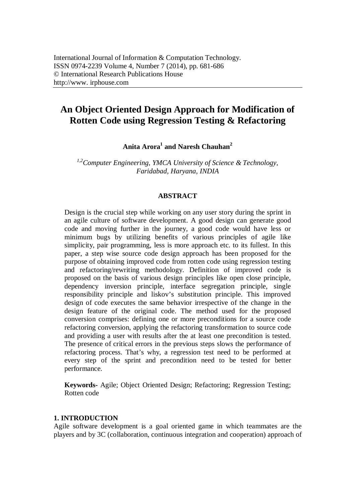# **An Object Oriented Design Approach for Modification of Rotten Code using Regression Testing & Refactoring**

**Anita Arora<sup>1</sup> and Naresh Chauhan<sup>2</sup>**

*1,2Computer Engineering, YMCA University of Science & Technology, Faridabad, Haryana, INDIA*

### **ABSTRACT**

Design is the crucial step while working on any user story during the sprint in an agile culture of software development. A good design can generate good code and moving further in the journey, a good code would have less or minimum bugs by utilizing benefits of various principles of agile like simplicity, pair programming, less is more approach etc. to its fullest. In this paper, a step wise source code design approach has been proposed for the purpose of obtaining improved code from rotten code using regression testing and refactoring/rewriting methodology. Definition of improved code is proposed on the basis of various design principles like open close principle, dependency inversion principle, interface segregation principle, single responsibility principle and liskov's substitution principle. This improved design of code executes the same behavior irrespective of the change in the design feature of the original code. The method used for the proposed conversion comprises: defining one or more preconditions for a source code refactoring conversion, applying the refactoring transformation to source code and providing a user with results after the at least one precondition is tested. The presence of critical errors in the previous steps slows the performance of refactoring process. That's why, a regression test need to be performed at every step of the sprint and precondition need to be tested for better performance.

**Keywords-** Agile; Object Oriented Design; Refactoring; Regression Testing; Rotten code

### **1. INTRODUCTION**

Agile software development is a goal oriented game in which teammates are the players and by 3C (collaboration, continuous integration and cooperation) approach of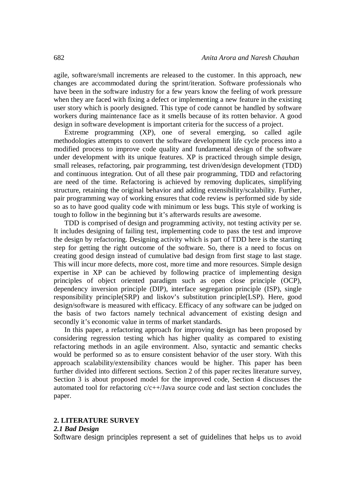agile, software/small increments are released to the customer. In this approach, new changes are accommodated during the sprint/iteration. Software professionals who have been in the software industry for a few years know the feeling of work pressure when they are faced with fixing a defect or implementing a new feature in the existing user story which is poorly designed. This type of code cannot be handled by software workers during maintenance face as it smells because of its rotten behavior. A good design in software development is important criteria for the success of a project.

Extreme programming (XP), one of several emerging, so called agile methodologies attempts to convert the software development life cycle process into a modified process to improve code quality and fundamental design of the software under development with its unique features. XP is practiced through simple design, small releases, refactoring, pair programming, test driven/design development (TDD) and continuous integration. Out of all these pair programming, TDD and refactoring are need of the time. Refactoring is achieved by removing duplicates, simplifying structure, retaining the original behavior and adding extensibility/scalability. Further, pair programming way of working ensures that code review is performed side by side so as to have good quality code with minimum or less bugs. This style of working is tough to follow in the beginning but it's afterwards results are awesome.

TDD is comprised of design and programming activity, not testing activity per se. It includes designing of failing test, implementing code to pass the test and improve the design by refactoring. Designing activity which is part of TDD here is the starting step for getting the right outcome of the software. So, there is a need to focus on creating good design instead of cumulative bad design from first stage to last stage. This will incur more defects, more cost, more time and more resources. Simple design expertise in XP can be achieved by following practice of implementing design principles of object oriented paradigm such as open close principle (OCP), dependency inversion principle (DIP), interface segregation principle (ISP), single responsibility principle(SRP) and liskov's substitution principle(LSP). Here, good design/software is measured with efficacy. Efficacy of any software can be judged on the basis of two factors namely technical advancement of existing design and secondly it's economic value in terms of market standards.

In this paper, a refactoring approach for improving design has been proposed by considering regression testing which has higher quality as compared to existing refactoring methods in an agile environment. Also, syntactic and semantic checks would be performed so as to ensure consistent behavior of the user story. With this approach scalability/extensibility chances would be higher. This paper has been further divided into different sections. Section 2 of this paper recites literature survey, Section 3 is about proposed model for the improved code, Section 4 discusses the automated tool for refactoring c/c++/Java source code and last section concludes the paper.

# **2. LITERATURE SURVEY**

#### *2.1 Bad Design*

Software design principles represent a set of guidelines that helps us to avoid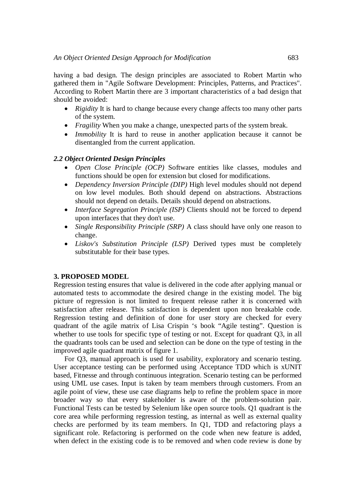having a bad design. The design principles are associated to Robert Martin who gathered them in "Agile Software Development: Principles, Patterns, and Practices". According to Robert Martin there are 3 important characteristics of a bad design that should be avoided:

- *Rigidity* It is hard to change because every change affects too many other parts of the system.
- *Fragility* When you make a change, unexpected parts of the system break.
- *Immobility* It is hard to reuse in another application because it cannot be disentangled from the current application.

# *2.2 Object Oriented Design Principles*

- *Open Close Principle (OCP)* Software entities like classes, modules and functions should be open for extension but closed for modifications.
- *Dependency Inversion Principle (DIP)* High level modules should not depend on low level modules. Both should depend on abstractions. Abstractions should not depend on details. Details should depend on abstractions.
- *Interface Segregation Principle (ISP)* Clients should not be forced to depend upon interfaces that they don't use.
- *Single Responsibility Principle (SRP)* A class should have only one reason to change.
- *Liskov's Substitution Principle (LSP)* Derived types must be completely substitutable for their base types.

# **3. PROPOSED MODEL**

Regression testing ensures that value is delivered in the code after applying manual or automated tests to accommodate the desired change in the existing model. The big picture of regression is not limited to frequent release rather it is concerned with satisfaction after release. This satisfaction is dependent upon non breakable code. Regression testing and definition of done for user story are checked for every quadrant of the agile matrix of Lisa Crispin 's book "Agile testing". Question is whether to use tools for specific type of testing or not. Except for quadrant Q3, in all the quadrants tools can be used and selection can be done on the type of testing in the improved agile quadrant matrix of figure 1.

For Q3, manual approach is used for usability, exploratory and scenario testing. User acceptance testing can be performed using Acceptance TDD which is xUNIT based, Fitnesse and through continuous integration. Scenario testing can be performed using UML use cases. Input is taken by team members through customers. From an agile point of view, these use case diagrams help to refine the problem space in more broader way so that every stakeholder is aware of the problem-solution pair. Functional Tests can be tested by Selenium like open source tools. Q1 quadrant is the core area while performing regression testing, as internal as well as external quality checks are performed by its team members. In Q1, TDD and refactoring plays a significant role. Refactoring is performed on the code when new feature is added, when defect in the existing code is to be removed and when code review is done by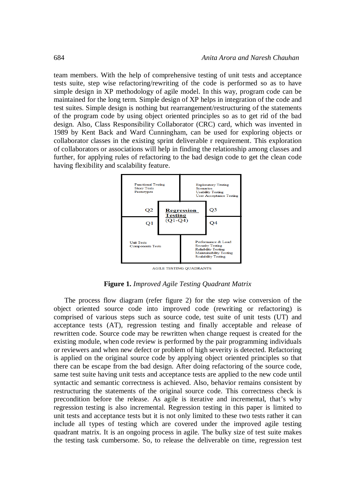team members. With the help of comprehensive testing of unit tests and acceptance tests suite, step wise refactoring/rewriting of the code is performed so as to have simple design in XP methodology of agile model. In this way, program code can be maintained for the long term. Simple design of XP helps in integration of the code and test suites. Simple design is nothing but rearrangement/restructuring of the statements of the program code by using object oriented principles so as to get rid of the bad design. Also, Class Responsibility Collaborator (CRC) card, which was invented in 1989 by Kent Back and Ward Cunningham, can be used for exploring objects or collaborator classes in the existing sprint deliverable r requirement. This exploration of collaborators or associations will help in finding the relationship among classes and further, for applying rules of refactoring to the bad design code to get the clean code having flexibility and scalability feature.



AGILE TESTING QUADRANTS

**Figure 1.** *Improved Agile Testing Quadrant Matrix*

The process flow diagram (refer figure 2) for the step wise conversion of the object oriented source code into improved code (rewriting or refactoring) is comprised of various steps such as source code, test suite of unit tests (UT) and acceptance tests (AT), regression testing and finally acceptable and release of rewritten code. Source code may be rewritten when change request is created for the existing module, when code review is performed by the pair programming individuals or reviewers and when new defect or problem of high severity is detected. Refactoring is applied on the original source code by applying object oriented principles so that there can be escape from the bad design. After doing refactoring of the source code, same test suite having unit tests and acceptance tests are applied to the new code until syntactic and semantic correctness is achieved. Also, behavior remains consistent by restructuring the statements of the original source code. This correctness check is precondition before the release. As agile is iterative and incremental, that's why regression testing is also incremental. Regression testing in this paper is limited to unit tests and acceptance tests but it is not only limited to these two tests rather it can include all types of testing which are covered under the improved agile testing quadrant matrix. It is an ongoing process in agile. The bulky size of test suite makes the testing task cumbersome. So, to release the deliverable on time, regression test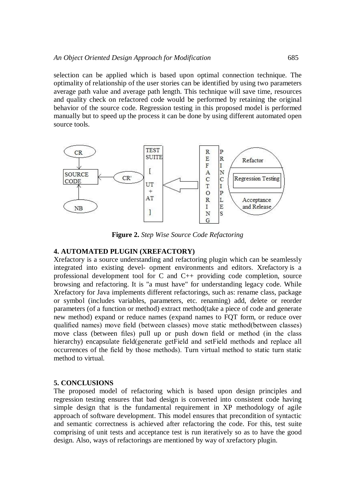selection can be applied which is based upon optimal connection technique. The optimality of relationship of the user stories can be identified by using two parameters average path value and average path length. This technique will save time, resources and quality check on refactored code would be performed by retaining the original behavior of the source code. Regression testing in this proposed model is performed manually but to speed up the process it can be done by using different automated open source tools.



**Figure 2.** *Step Wise Source Code Refactoring*

### **4. AUTOMATED PLUGIN (XREFACTORY)**

Xrefactory is a source understanding and refactoring plugin which can be seamlessly integrated into existing devel- opment environments and editors. Xrefactory is a professional development tool for C and C++ providing code completion, source browsing and refactoring. It is "a must have" for understanding legacy code. While Xrefactory for Java implements different refactorings, such as: rename class, package or symbol (includes variables, parameters, etc. renaming) add, delete or reorder parameters (of a function or method) extract method(take a piece of code and generate new method) expand or reduce names (expand names to FQT form, or reduce over qualified names) move field (between classes) move static method(between classes) move class (between files) pull up or push down field or method (in the class hierarchy) encapsulate field(generate getField and setField methods and replace all occurrences of the field by those methods). Turn virtual method to static turn static method to virtual.

### **5. CONCLUSIONS**

The proposed model of refactoring which is based upon design principles and regression testing ensures that bad design is converted into consistent code having simple design that is the fundamental requirement in XP methodology of agile approach of software development. This model ensures that precondition of syntactic and semantic correctness is achieved after refactoring the code. For this, test suite comprising of unit tests and acceptance test is run iteratively so as to have the good design. Also, ways of refactorings are mentioned by way of xrefactory plugin.